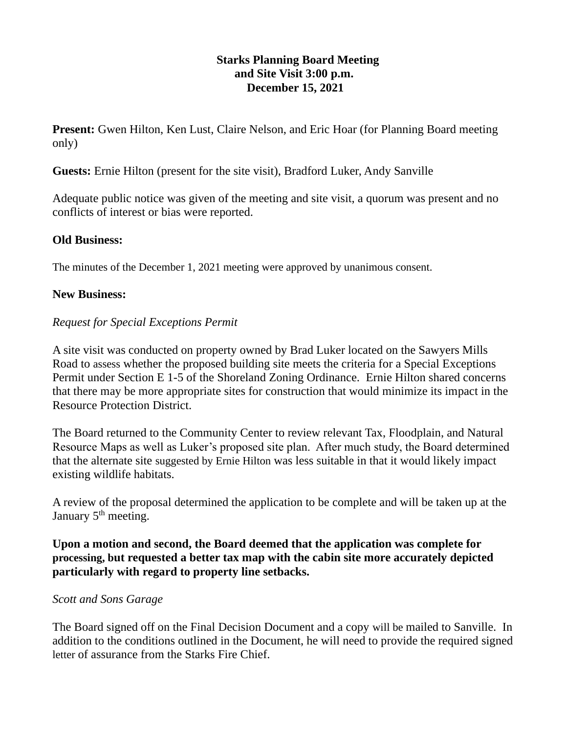# **Starks Planning Board Meeting and Site Visit 3:00 p.m. December 15, 2021**

**Present:** Gwen Hilton, Ken Lust, Claire Nelson, and Eric Hoar (for Planning Board meeting only)

**Guests:** Ernie Hilton (present for the site visit), Bradford Luker, Andy Sanville

Adequate public notice was given of the meeting and site visit, a quorum was present and no conflicts of interest or bias were reported.

# **Old Business:**

The minutes of the December 1, 2021 meeting were approved by unanimous consent.

#### **New Business:**

#### *Request for Special Exceptions Permit*

A site visit was conducted on property owned by Brad Luker located on the Sawyers Mills Road to assess whether the proposed building site meets the criteria for a Special Exceptions Permit under Section E 1-5 of the Shoreland Zoning Ordinance. Ernie Hilton shared concerns that there may be more appropriate sites for construction that would minimize its impact in the Resource Protection District.

The Board returned to the Community Center to review relevant Tax, Floodplain, and Natural Resource Maps as well as Luker's proposed site plan. After much study, the Board determined that the alternate site suggested by Ernie Hilton was less suitable in that it would likely impact existing wildlife habitats.

A review of the proposal determined the application to be complete and will be taken up at the January 5<sup>th</sup> meeting.

# **Upon a motion and second, the Board deemed that the application was complete for processing, but requested a better tax map with the cabin site more accurately depicted particularly with regard to property line setbacks.**

# *Scott and Sons Garage*

The Board signed off on the Final Decision Document and a copy will be mailed to Sanville. In addition to the conditions outlined in the Document, he will need to provide the required signed letter of assurance from the Starks Fire Chief.